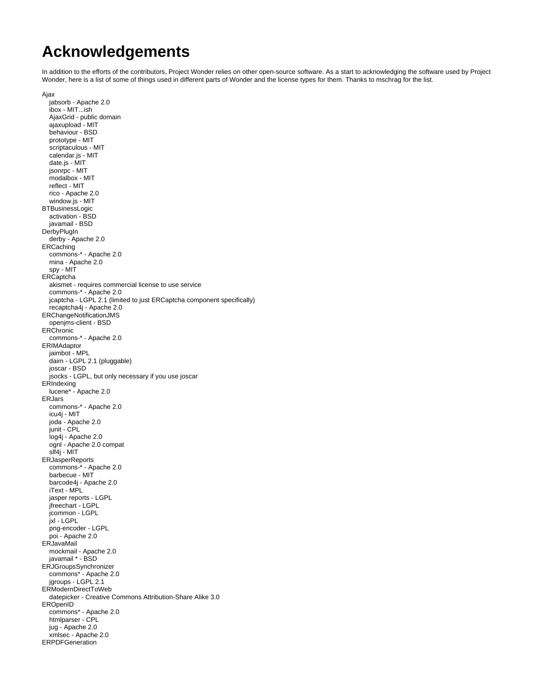## **Acknowledgements**

In addition to the efforts of the contributors, Project Wonder relies on other open-source software. As a start to acknowledging the software used by Project Wonder, here is a list of some of things used in different parts of Wonder and the license types for them. Thanks to mschrag for the list.

```
Ajax
```

```
 jabsorb - Apache 2.0
   ibox - MIT...ish
   AjaxGrid - public domain
   ajaxupload - MIT
   behaviour - BSD
   prototype - MIT
   scriptaculous - MIT
   calendar.js - MIT
   date.js - MIT
   jsonrpc - MIT
   modalbox - MIT
   reflect - MIT
   rico - Apache 2.0
   window.js - MIT
BTBusinessLogic
   activation - BSD
   javamail - BSD
DerbyPlugIn
   derby - Apache 2.0
ERCaching
   commons-* - Apache 2.0
   mina - Apache 2.0
   spy - MIT
ERCaptcha
   akismet - requires commercial license to use service
   commons-* - Apache 2.0
   jcaptcha - LGPL 2.1 (limited to just ERCaptcha component specifically)
   recaptcha4j - Apache 2.0
ERChangeNotificationJMS
   openjms-client - BSD
ERChronic
   commons-* - Apache 2.0
ERIMAdaptor
   jaimbot - MPL
   daim - LGPL 2.1 (pluggable)
   joscar - BSD
   jsocks - LGPL, but only necessary if you use joscar
ERIndexing
   lucene* - Apache 2.0
ERJars
   commons-* - Apache 2.0
   icu4j - MIT
   joda - Apache 2.0
   junit - CPL
   log4j - Apache 2.0
   ognl - Apache 2.0 compat
   slf4j - MIT
ERJasperReports
   commons-* - Apache 2.0
   barbecue - MIT
   barcode4j - Apache 2.0
   iText - MPL
   jasper reports - LGPL
   jfreechart - LGPL
   jcommon - LGPL
   jxl - LGPL
   png-encoder - LGPL
   poi - Apache 2.0
ERJavaMail
 mockmail - Apache 2.0
 javamail * - BSD
ERJGroupsSynchronizer
   commons* - Apache 2.0
  jgroups - LGPL 2.1
ERModernDirectToWeb
   datepicker - Creative Commons Attribution-Share Alike 3.0
EROpenID
   commons* - Apache 2.0
   htmlparser - CPL
   jug - Apache 2.0
   xmlsec - Apache 2.0
ERPDFGeneration
```